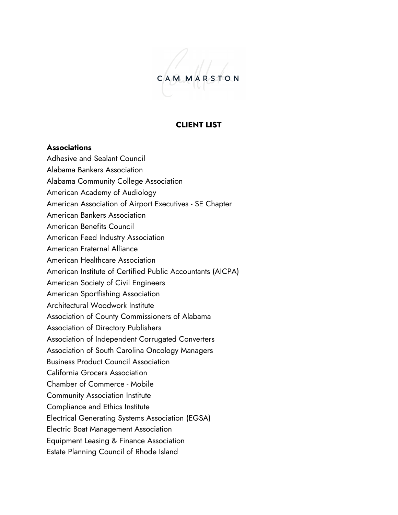

### **CLIENT LIST**

### **Associations**

Adhesive and Sealant Council Alabama Bankers Association Alabama Community College Association American Academy of Audiology American Association of Airport Executives - SE Chapter American Bankers Association American Benefits Council American Feed Industry Association American Fraternal Alliance American Healthcare Association American Institute of Certified Public Accountants (AICPA) American Society of Civil Engineers American Sportfishing Association Architectural Woodwork Institute Association of County Commissioners of Alabama Association of Directory Publishers Association of Independent Corrugated Converters Association of South Carolina Oncology Managers Business Product Council Association California Grocers Association Chamber of Commerce - Mobile Community Association Institute Compliance and Ethics Institute Electrical Generating Systems Association (EGSA) Electric Boat Management Association Equipment Leasing & Finance Association Estate Planning Council of Rhode Island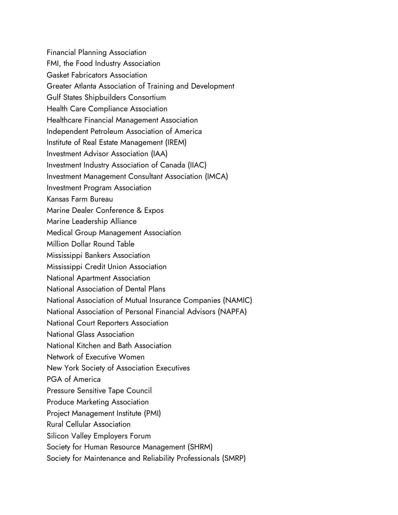Financial Planning Association FMI, the Food Industry Association Gasket Fabricators Association Greater Atlanta Association of Training and Development Gulf States Shipbuilders Consortium Health Care Compliance Association Healthcare Financial Management Association Independent Petroleum Association of America Institute of Real Estate Management (IREM) Investment Advisor Association (IAA) Investment Industry Association of Canada (IIAC) Investment Management Consultant Association (IMCA) Investment Program Association Kansas Farm Bureau Marine Dealer Conference & Expos Marine Leadership Alliance Medical Group Management Association Million Dollar Round Table Mississippi Bankers Association Mississippi Credit Union Association National Apartment Association National Association of Dental Plans National Association of Mutual Insurance Companies (NAMIC) National Association of Personal Financial Advisors (NAPFA) National Court Reporters Association National Glass Association National Kitchen and Bath Association Network of Executive Women New York Society of Association Executives PGA of America Pressure Sensitive Tape Council Produce Marketing Association Project Management Institute (PMI) Rural Cellular Association Silicon Valley Employers Forum Society for Human Resource Management (SHRM) Society for Maintenance and Reliability Professionals (SMRP)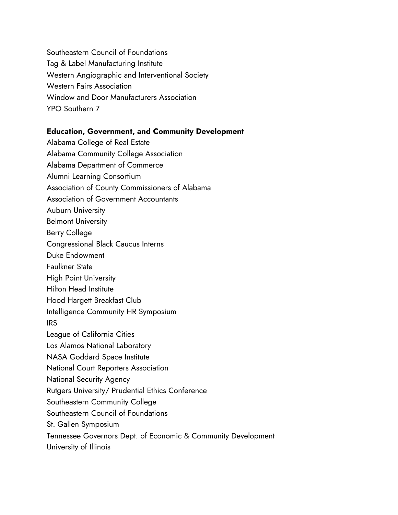Southeastern Council of Foundations Tag & Label Manufacturing Institute Western Angiographic and Interventional Society Western Fairs Association Window and Door Manufacturers Association YPO Southern 7

### **Education, Government, and Community Development**

Alabama College of Real Estate Alabama Community College Association Alabama Department of Commerce Alumni Learning Consortium Association of County Commissioners of Alabama Association of Government Accountants Auburn University Belmont University Berry College Congressional Black Caucus Interns Duke Endowment Faulkner State High Point University Hilton Head Institute Hood Hargett Breakfast Club Intelligence Community HR Symposium IRS League of California Cities Los Alamos National Laboratory NASA Goddard Space Institute National Court Reporters Association National Security Agency Rutgers University/ Prudential Ethics Conference Southeastern Community College Southeastern Council of Foundations St. Gallen Symposium Tennessee Governors Dept. of Economic & Community Development University of Illinois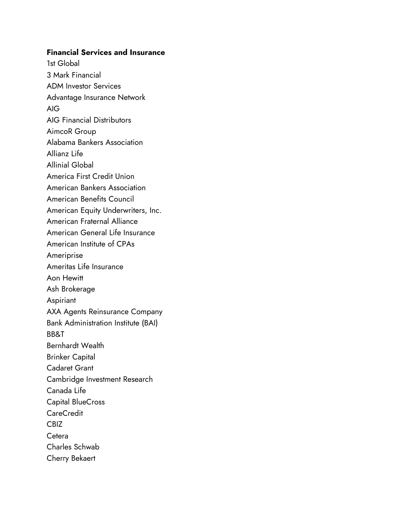## **Financial Services and Insurance**

1st Global 3 Mark Financial ADM Investor Services Advantage Insurance Network AIG AIG Financial Distributors AimcoR Group Alabama Bankers Association Allianz Life Allinial Global America First Credit Union American Bankers Association American Benefits Council American Equity Underwriters, Inc. American Fraternal Alliance American General Life Insurance American Institute of CPAs **Ameriprise** Ameritas Life Insurance Aon Hewitt Ash Brokerage Aspiriant AXA Agents Reinsurance Company Bank Administration Institute (BAI) BB&T Bernhardt Wealth Brinker Capital Cadaret Grant Cambridge Investment Research Canada Life Capital BlueCross CareCredit CBIZ Cetera Charles Schwab Cherry Bekaert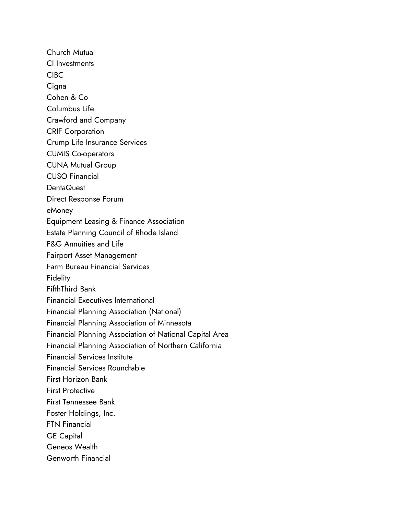Church Mutual CI Investments CIBC **Cigna** Cohen & Co Columbus Life Crawford and Company CRIF Corporation Crump Life Insurance Services CUMIS Co-operators CUNA Mutual Group CUSO Financial **DentaQuest** Direct Response Forum eMoney Equipment Leasing & Finance Association Estate Planning Council of Rhode Island F&G Annuities and Life Fairport Asset Management Farm Bureau Financial Services **Fidelity** FifthThird Bank Financial Executives International Financial Planning Association (National) Financial Planning Association of Minnesota Financial Planning Association of National Capital Area Financial Planning Association of Northern California Financial Services Institute Financial Services Roundtable First Horizon Bank First Protective First Tennessee Bank Foster Holdings, Inc. FTN Financial GE Capital Geneos Wealth Genworth Financial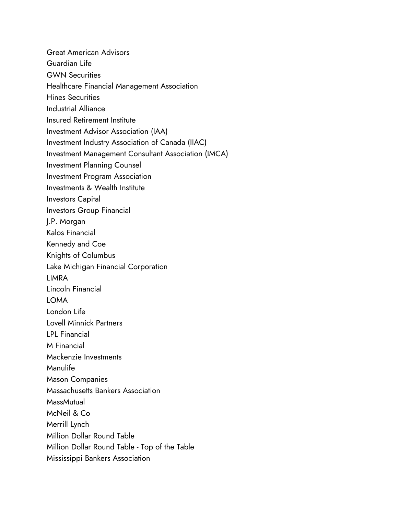Great American Advisors Guardian Life GWN Securities Healthcare Financial Management Association Hines Securities Industrial Alliance Insured Retirement Institute Investment Advisor Association (IAA) Investment Industry Association of Canada (IIAC) Investment Management Consultant Association (IMCA) Investment Planning Counsel Investment Program Association Investments & Wealth Institute Investors Capital Investors Group Financial J.P. Morgan Kalos Financial Kennedy and Coe Knights of Columbus Lake Michigan Financial Corporation LIMRA Lincoln Financial LOMA London Life Lovell Minnick Partners LPL Financial M Financial Mackenzie Investments **Manulife** Mason Companies Massachusetts Bankers Association **MassMutual** McNeil & Co Merrill Lynch Million Dollar Round Table Million Dollar Round Table - Top of the Table Mississippi Bankers Association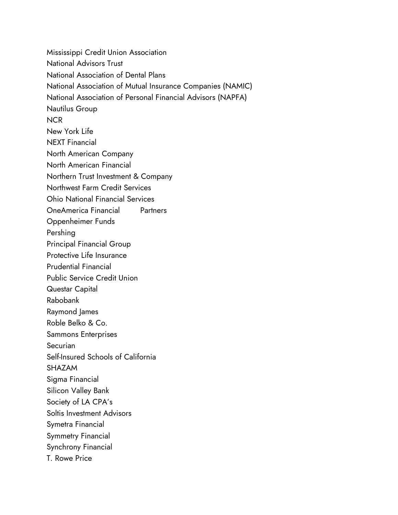Mississippi Credit Union Association National Advisors Trust National Association of Dental Plans National Association of Mutual Insurance Companies (NAMIC) National Association of Personal Financial Advisors (NAPFA) Nautilus Group **NCR** New York Life NEXT Financial North American Company North American Financial Northern Trust Investment & Company Northwest Farm Credit Services Ohio National Financial Services OneAmerica Financial Partners Oppenheimer Funds Pershing Principal Financial Group Protective Life Insurance Prudential Financial Public Service Credit Union Questar Capital Rabobank Raymond James Roble Belko & Co. Sammons Enterprises **Securian** Self-Insured Schools of California SHAZAM Sigma Financial Silicon Valley Bank Society of LA CPA's Soltis Investment Advisors Symetra Financial Symmetry Financial Synchrony Financial T. Rowe Price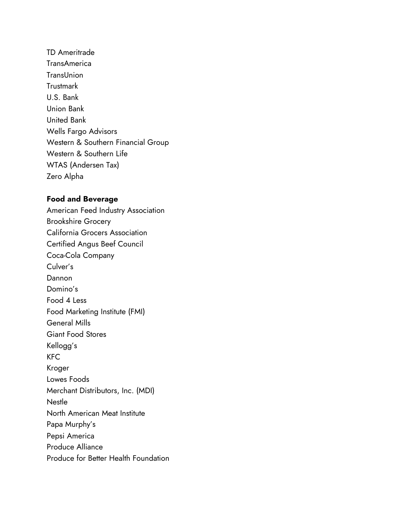TD Ameritrade TransAmerica **TransUnion Trustmark** U.S. Bank Union Bank United Bank Wells Fargo Advisors Western & Southern Financial Group Western & Southern Life WTAS (Andersen Tax) Zero Alpha

## **Food and Beverage**

American Feed Industry Association Brookshire Grocery California Grocers Association Certified Angus Beef Council Coca-Cola Company Culver's Dannon Domino's Food 4 Less Food Marketing Institute (FMI) General Mills Giant Food Stores Kellogg's KFC Kroger Lowes Foods Merchant Distributors, Inc. (MDI) Nestle North American Meat Institute Papa Murphy's Pepsi America Produce Alliance Produce for Better Health Foundation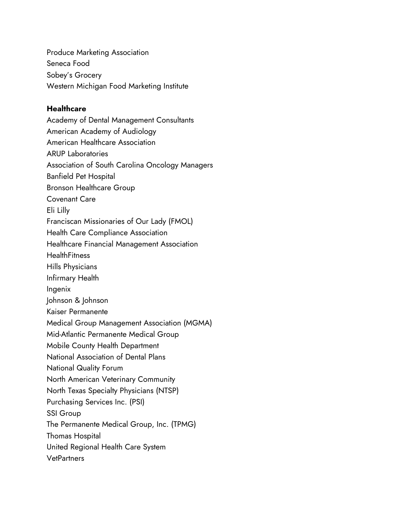Produce Marketing Association Seneca Food Sobey's Grocery Western Michigan Food Marketing Institute

#### **Healthcare**

Academy of Dental Management Consultants American Academy of Audiology American Healthcare Association ARUP Laboratories Association of South Carolina Oncology Managers Banfield Pet Hospital Bronson Healthcare Group Covenant Care Eli Lilly Franciscan Missionaries of Our Lady (FMOL) Health Care Compliance Association Healthcare Financial Management Association **HealthFitness** Hills Physicians Infirmary Health Ingenix Johnson & Johnson Kaiser Permanente Medical Group Management Association (MGMA) Mid-Atlantic Permanente Medical Group Mobile County Health Department National Association of Dental Plans National Quality Forum North American Veterinary Community North Texas Specialty Physicians (NTSP) Purchasing Services Inc. (PSI) SSI Group The Permanente Medical Group, Inc. (TPMG) Thomas Hospital United Regional Health Care System **VetPartners**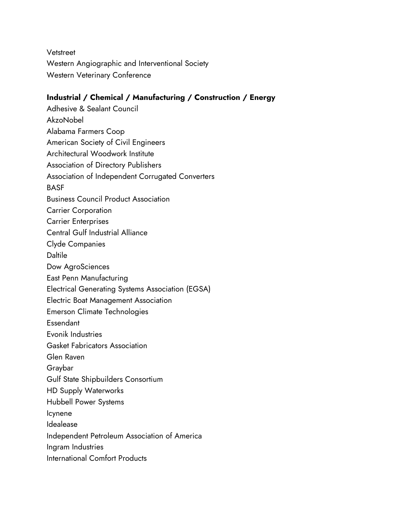Vetstreet Western Angiographic and Interventional Society Western Veterinary Conference

## **Industrial / Chemical / Manufacturing / Construction / Energy**

Adhesive & Sealant Council AkzoNobel Alabama Farmers Coop American Society of Civil Engineers Architectural Woodwork Institute Association of Directory Publishers Association of Independent Corrugated Converters **BASF** Business Council Product Association Carrier Corporation Carrier Enterprises Central Gulf Industrial Alliance Clyde Companies **Daltile** Dow AgroSciences East Penn Manufacturing Electrical Generating Systems Association (EGSA) Electric Boat Management Association Emerson Climate Technologies Essendant Evonik Industries Gasket Fabricators Association Glen Raven Graybar Gulf State Shipbuilders Consortium HD Supply Waterworks Hubbell Power Systems Icynene Idealease Independent Petroleum Association of America Ingram Industries International Comfort Products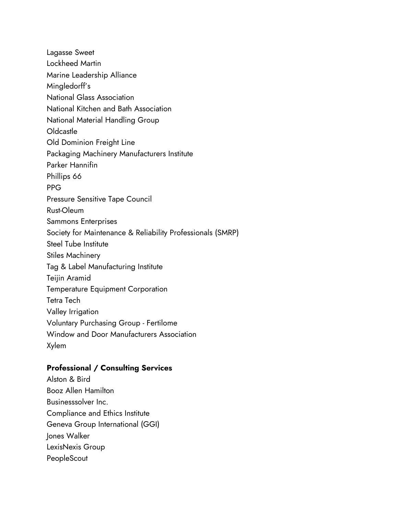Lagasse Sweet Lockheed Martin Marine Leadership Alliance Mingledorff's National Glass Association National Kitchen and Bath Association National Material Handling Group Oldcastle Old Dominion Freight Line Packaging Machinery Manufacturers Institute Parker Hannifin Phillips 66 PPG Pressure Sensitive Tape Council Rust-Oleum Sammons Enterprises Society for Maintenance & Reliability Professionals (SMRP) Steel Tube Institute Stiles Machinery Tag & Label Manufacturing Institute Teijin Aramid Temperature Equipment Corporation Tetra Tech Valley Irrigation Voluntary Purchasing Group - Fertilome Window and Door Manufacturers Association Xylem

# **Professional / Consulting Services**

Alston & Bird Booz Allen Hamilton Businesssolver Inc. Compliance and Ethics Institute Geneva Group International (GGI) Jones Walker LexisNexis Group **PeopleScout**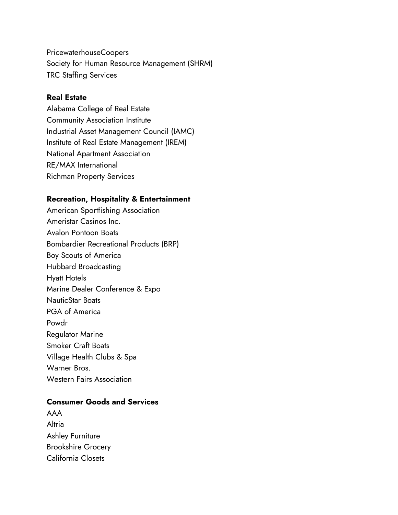PricewaterhouseCoopers Society for Human Resource Management (SHRM) TRC Staffing Services

## **Real Estate**

Alabama College of Real Estate Community Association Institute Industrial Asset Management Council (IAMC) Institute of Real Estate Management (IREM) National Apartment Association RE/MAX International Richman Property Services

#### **Recreation, Hospitality & Entertainment**

American Sportfishing Association Ameristar Casinos Inc. Avalon Pontoon Boats Bombardier Recreational Products (BRP) Boy Scouts of America Hubbard Broadcasting Hyatt Hotels Marine Dealer Conference & Expo NauticStar Boats PGA of America Powdr Regulator Marine Smoker Craft Boats Village Health Clubs & Spa Warner Bros. Western Fairs Association

## **Consumer Goods and Services**

AAA Altria Ashley Furniture Brookshire Grocery California Closets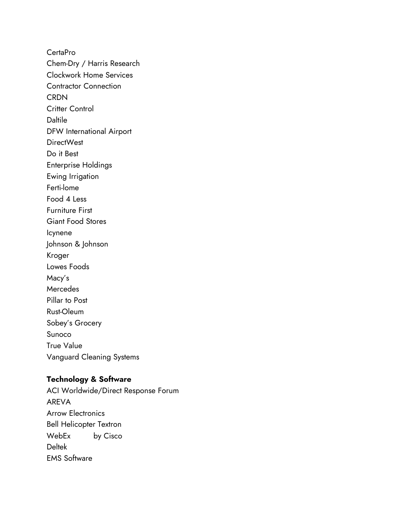CertaPro Chem-Dry / Harris Research Clockwork Home Services Contractor Connection **CRDN** Critter Control **Daltile** DFW International Airport DirectWest Do it Best Enterprise Holdings Ewing Irrigation Ferti-lome Food 4 Less Furniture First Giant Food Stores Icynene Johnson & Johnson Kroger Lowes Foods Macy's **Mercedes** Pillar to Post Rust-Oleum Sobey's Grocery Sunoco True Value Vanguard Cleaning Systems

# **Technology & Software**

ACI Worldwide/Direct Response Forum AREVA Arrow Electronics Bell Helicopter Textron WebEx by Cisco Deltek EMS Software